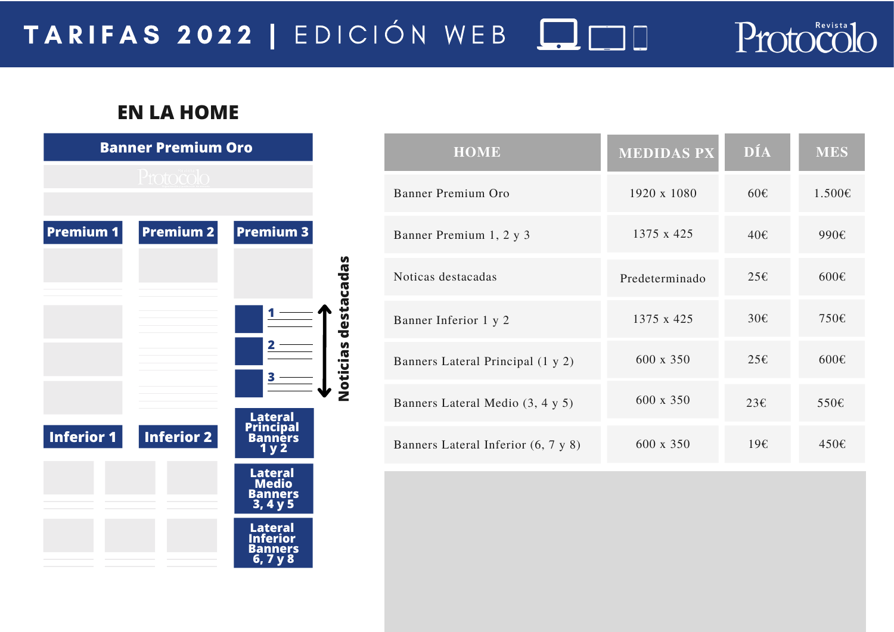## TARIFAS 2022 | EDICIÓN WEB **QO**

**Noticias destacadas**

Noticias destacadas

## **EN LA HOME**

| <b>Banner Premium Oro</b> |                   |                                                |  |  |
|---------------------------|-------------------|------------------------------------------------|--|--|
|                           | Protocolo         |                                                |  |  |
|                           |                   |                                                |  |  |
| <b>Premium 1</b>          | <b>Premium 2</b>  | <b>Premium 3</b>                               |  |  |
|                           |                   |                                                |  |  |
|                           |                   |                                                |  |  |
|                           |                   |                                                |  |  |
|                           |                   |                                                |  |  |
|                           |                   |                                                |  |  |
|                           |                   |                                                |  |  |
| <b>Inferior 1</b>         | <b>Inferior 2</b> | Lateral<br>Principal<br>Banners<br>1 y 2       |  |  |
|                           |                   |                                                |  |  |
|                           |                   | <b>Lateral</b><br>Medio<br>Banners<br>3, 4 y 5 |  |  |
|                           |                   |                                                |  |  |
|                           |                   | Lateral<br>Inferior<br><b>Banners</b>          |  |  |
|                           |                   | 6, 7 y 8                                       |  |  |

| <b>HOME</b>                         | <b>MEDIDAS PX</b> | DÍA           | <b>MES</b>     |
|-------------------------------------|-------------------|---------------|----------------|
| Banner Premium Oro                  | 1920 x 1080       | $60 \epsilon$ | 1.500€         |
| Banner Premium 1, 2 y 3             | 1375 x 425        | 40€           | 990€           |
| Noticas destacadas                  | Predeterminado    | 25E           | 600€           |
| Banner Inferior 1 y 2               | 1375 x 425        | 30E           | 750€           |
| Banners Lateral Principal (1 y 2)   | 600 x 350         | 25E           | $600 \text{E}$ |
| Banners Lateral Medio (3, 4 y 5)    | 600 x 350         | 23E           | 550€           |
| Banners Lateral Inferior (6, 7 y 8) | 600 x 350         | 19E           | 450€           |

Protocolo